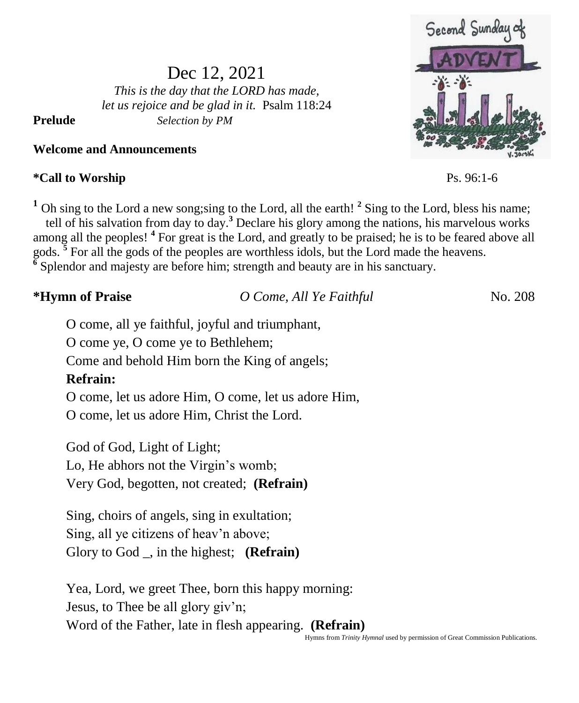# Second Sundar

 $Ps. 96:1-6$ 

Dec 12, 2021 *This is the day that the LORD has made, let us rejoice and be glad in it.* Psalm 118:24 **Prelude** *Selection by PM*

**Welcome and Announcements**

# $*$ Call to Worship

<sup>1</sup> Oh sing to the Lord a new song; sing to the Lord, all the earth!<sup>2</sup> Sing to the Lord, bless his name; tell of his salvation from day to day.**<sup>3</sup>** Declare his glory among the nations, his marvelous works among all the peoples! **<sup>4</sup>** For great is the Lord, and greatly to be praised; he is to be feared above all gods.<sup>5</sup> For all the gods of the peoples are worthless idols, but the Lord made the heavens. **6** Splendor and majesty are before him; strength and beauty are in his sanctuary.

| *Hymn of Praise | O Come, All Ye Faithful | No. 208 |
|-----------------|-------------------------|---------|
|                 |                         |         |

O come, all ye faithful, joyful and triumphant,

O come ye, O come ye to Bethlehem;

Come and behold Him born the King of angels;

# **Refrain:**

O come, let us adore Him, O come, let us adore Him,

O come, let us adore Him, Christ the Lord.

God of God, Light of Light; Lo, He abhors not the Virgin's womb;

Very God, begotten, not created; **(Refrain)**

Sing, choirs of angels, sing in exultation; Sing, all ye citizens of heav'n above; Glory to God \_, in the highest; **(Refrain)**

Yea, Lord, we greet Thee, born this happy morning: Jesus, to Thee be all glory giv'n; Word of the Father, late in flesh appearing. **(Refrain)**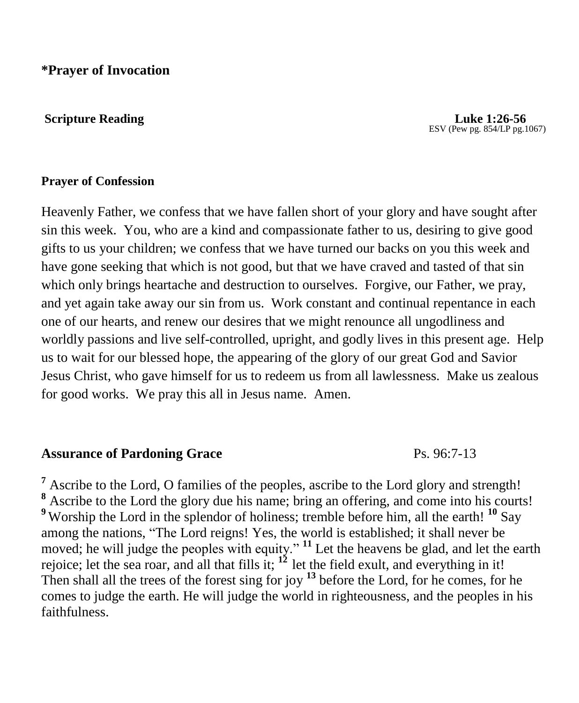**\*Prayer of Invocation** 

#### **Scripture Reading Luke 1:26-56**

ESV (Pew pg. 854/LP pg.1067)

#### **Prayer of Confession**

Heavenly Father, we confess that we have fallen short of your glory and have sought after sin this week. You, who are a kind and compassionate father to us, desiring to give good gifts to us your children; we confess that we have turned our backs on you this week and have gone seeking that which is not good, but that we have craved and tasted of that sin which only brings heartache and destruction to ourselves. Forgive, our Father, we pray, and yet again take away our sin from us. Work constant and continual repentance in each one of our hearts, and renew our desires that we might renounce all ungodliness and worldly passions and live self-controlled, upright, and godly lives in this present age. Help us to wait for our blessed hope, the appearing of the glory of our great God and Savior Jesus Christ, who gave himself for us to redeem us from all lawlessness. Make us zealous for good works. We pray this all in Jesus name. Amen.

#### **Assurance of Pardoning Grace** Ps. 96:7-13

**<sup>7</sup>** Ascribe to the Lord, O families of the peoples, ascribe to the Lord glory and strength! **<sup>8</sup>** Ascribe to the Lord the glory due his name; bring an offering, and come into his courts! <sup>9</sup> Worship the Lord in the splendor of holiness; tremble before him, all the earth! <sup>10</sup> Say among the nations, "The Lord reigns! Yes, the world is established; it shall never be moved; he will judge the peoples with equity." **<sup>11</sup>** Let the heavens be glad, and let the earth rejoice; let the sea roar, and all that fills it;  $1^2$  let the field exult, and everything in it! Then shall all the trees of the forest sing for joy **<sup>13</sup>** before the Lord, for he comes, for he comes to judge the earth. He will judge the world in righteousness, and the peoples in his faithfulness.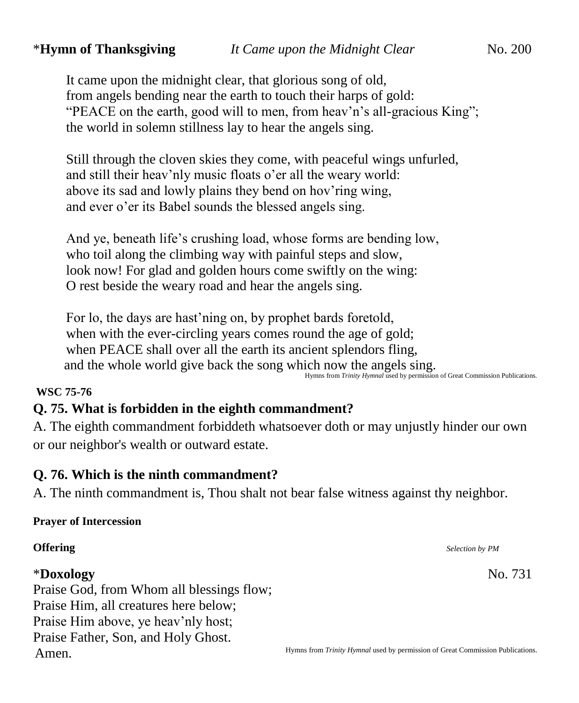It came upon the midnight clear, that glorious song of old, from angels bending near the earth to touch their harps of gold: "PEACE on the earth, good will to men, from heav'n's all-gracious King"; the world in solemn stillness lay to hear the angels sing.

Still through the cloven skies they come, with peaceful wings unfurled, and still their heav'nly music floats o'er all the weary world: above its sad and lowly plains they bend on hov'ring wing, and ever o'er its Babel sounds the blessed angels sing.

And ye, beneath life's crushing load, whose forms are bending low, who toil along the climbing way with painful steps and slow, look now! For glad and golden hours come swiftly on the wing: O rest beside the weary road and hear the angels sing.

For lo, the days are hast'ning on, by prophet bards foretold, when with the ever-circling years comes round the age of gold; when PEACE shall over all the earth its ancient splendors fling, and the whole world give back the song which now the angels sing. Hymns from *Trinity Hymnal* used by permission of Great Commission Publications.

#### **WSC 75-76**

# **Q. 75. What is forbidden in the eighth commandment?**

A. The eighth commandment forbiddeth whatsoever doth or may unjustly hinder our own or our neighbor's wealth or outward estate.

# **Q. 76. Which is the ninth commandment?**

A. The ninth commandment is, Thou shalt not bear false witness against thy neighbor.

#### **Prayer of Intercession**

# \***Doxology** No. 731

Praise God, from Whom all blessings flow; Praise Him, all creatures here below; Praise Him above, ye heav'nly host; Praise Father, Son, and Holy Ghost. Amen.

**Offering** *Selection by PM Selection by PM*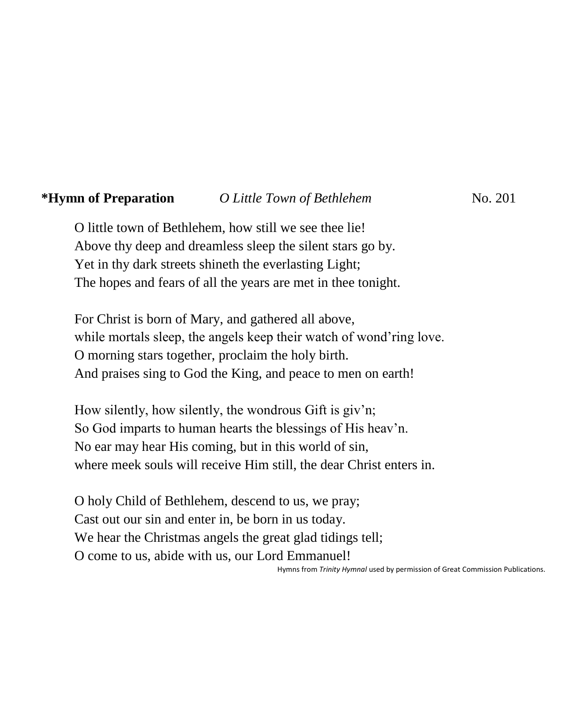#### **\*Hymn of Preparation** *O Little Town of Bethlehem* No. 201

O little town of Bethlehem, how still we see thee lie! Above thy deep and dreamless sleep the silent stars go by. Yet in thy dark streets shineth the everlasting Light; The hopes and fears of all the years are met in thee tonight.

For Christ is born of Mary, and gathered all above, while mortals sleep, the angels keep their watch of wond'ring love. O morning stars together, proclaim the holy birth. And praises sing to God the King, and peace to men on earth!

How silently, how silently, the wondrous Gift is giv'n; So God imparts to human hearts the blessings of His heav'n. No ear may hear His coming, but in this world of sin, where meek souls will receive Him still, the dear Christ enters in.

O holy Child of Bethlehem, descend to us, we pray; Cast out our sin and enter in, be born in us today. We hear the Christmas angels the great glad tidings tell; O come to us, abide with us, our Lord Emmanuel! Hymns from *Trinity Hymnal* used by permission of Great Commission Publications.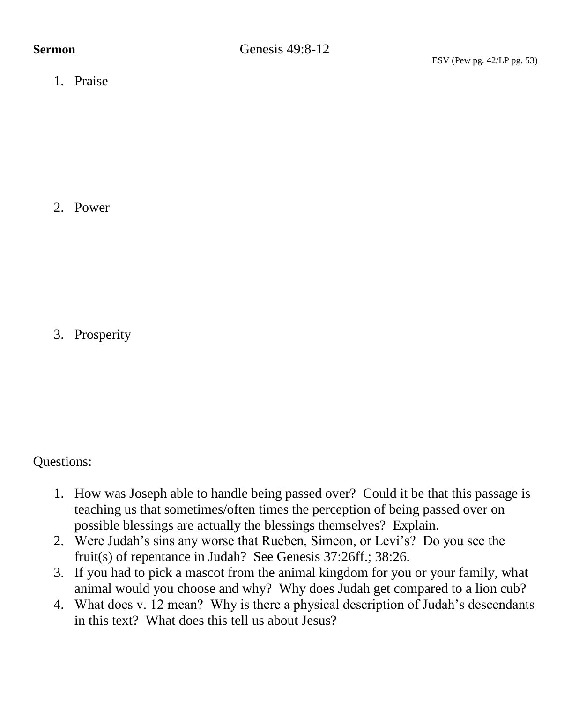1. Praise

2. Power

3. Prosperity

Questions:

- 1. How was Joseph able to handle being passed over? Could it be that this passage is teaching us that sometimes/often times the perception of being passed over on possible blessings are actually the blessings themselves? Explain.
- 2. Were Judah's sins any worse that Rueben, Simeon, or Levi's? Do you see the fruit(s) of repentance in Judah? See Genesis 37:26ff.; 38:26.
- 3. If you had to pick a mascot from the animal kingdom for you or your family, what animal would you choose and why? Why does Judah get compared to a lion cub?
- 4. What does v. 12 mean? Why is there a physical description of Judah's descendants in this text? What does this tell us about Jesus?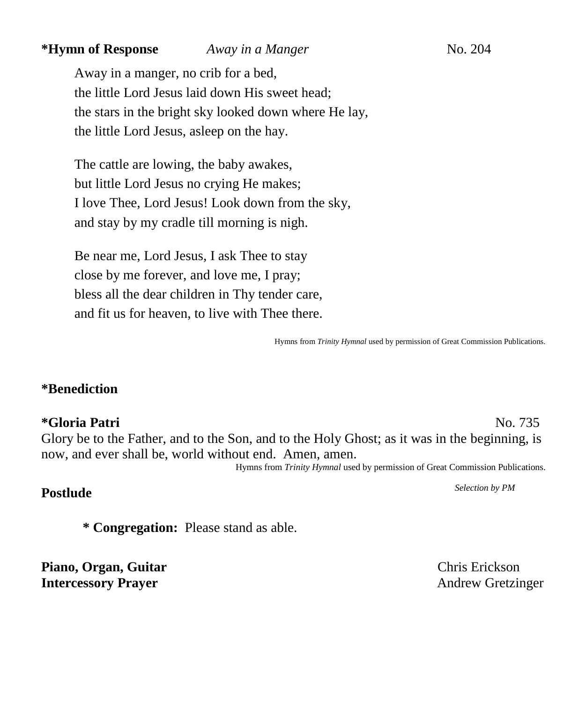#### **\*Hymn of Response** *Away in a Manger*No. 204

Away in a manger, no crib for a bed, the little Lord Jesus laid down His sweet head; the stars in the bright sky looked down where He lay, the little Lord Jesus, asleep on the hay.

The cattle are lowing, the baby awakes, but little Lord Jesus no crying He makes; I love Thee, Lord Jesus! Look down from the sky, and stay by my cradle till morning is nigh.

Be near me, Lord Jesus, I ask Thee to stay close by me forever, and love me, I pray; bless all the dear children in Thy tender care, and fit us for heaven, to live with Thee there.

Hymns from *Trinity Hymnal* used by permission of Great Commission Publications.

### **\*Benediction**

**\*Gloria Patri** No. 735 Glory be to the Father, and to the Son, and to the Holy Ghost; as it was in the beginning, is now, and ever shall be, world without end. Amen, amen.

Hymns from *Trinity Hymnal* used by permission of Great Commission Publications.

# **Postlude** *Selection by PM*

**\* Congregation:** Please stand as able.

**Piano, Organ, Guitar** Chris Erickson **Intercessory Prayer** Andrew Gretzinger